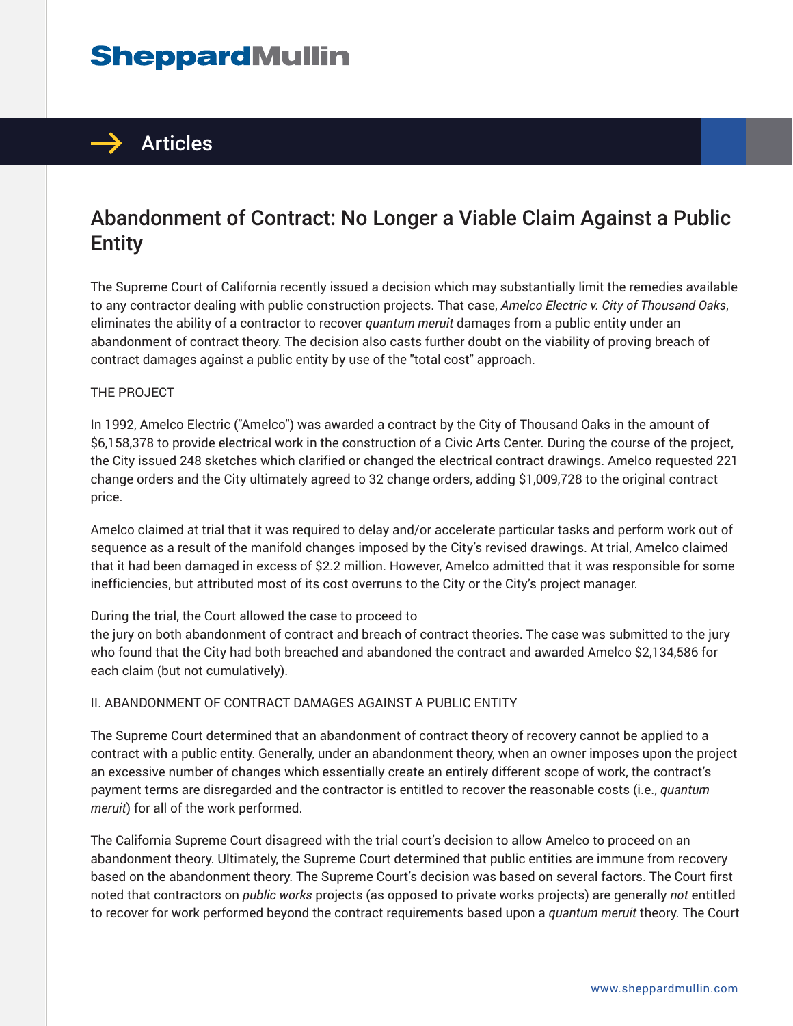# **SheppardMullin**



## Abandonment of Contract: No Longer a Viable Claim Against a Public Entity

The Supreme Court of California recently issued a decision which may substantially limit the remedies available to any contractor dealing with public construction projects. That case, *Amelco Electric v. City of Thousand Oaks*, eliminates the ability of a contractor to recover *quantum meruit* damages from a public entity under an abandonment of contract theory. The decision also casts further doubt on the viability of proving breach of contract damages against a public entity by use of the "total cost" approach.

#### THE PROJECT

In 1992, Amelco Electric ("Amelco") was awarded a contract by the City of Thousand Oaks in the amount of \$6,158,378 to provide electrical work in the construction of a Civic Arts Center. During the course of the project, the City issued 248 sketches which clarified or changed the electrical contract drawings. Amelco requested 221 change orders and the City ultimately agreed to 32 change orders, adding \$1,009,728 to the original contract price.

Amelco claimed at trial that it was required to delay and/or accelerate particular tasks and perform work out of sequence as a result of the manifold changes imposed by the City's revised drawings. At trial, Amelco claimed that it had been damaged in excess of \$2.2 million. However, Amelco admitted that it was responsible for some inefficiencies, but attributed most of its cost overruns to the City or the City's project manager.

#### During the trial, the Court allowed the case to proceed to

the jury on both abandonment of contract and breach of contract theories. The case was submitted to the jury who found that the City had both breached and abandoned the contract and awarded Amelco \$2,134,586 for each claim (but not cumulatively).

#### II. ABANDONMENT OF CONTRACT DAMAGES AGAINST A PUBLIC ENTITY

The Supreme Court determined that an abandonment of contract theory of recovery cannot be applied to a contract with a public entity. Generally, under an abandonment theory, when an owner imposes upon the project an excessive number of changes which essentially create an entirely different scope of work, the contract's payment terms are disregarded and the contractor is entitled to recover the reasonable costs (i.e., *quantum meruit*) for all of the work performed.

The California Supreme Court disagreed with the trial court's decision to allow Amelco to proceed on an abandonment theory. Ultimately, the Supreme Court determined that public entities are immune from recovery based on the abandonment theory. The Supreme Court's decision was based on several factors. The Court first noted that contractors on *public works* projects (as opposed to private works projects) are generally *not* entitled to recover for work performed beyond the contract requirements based upon a *quantum meruit* theory. The Court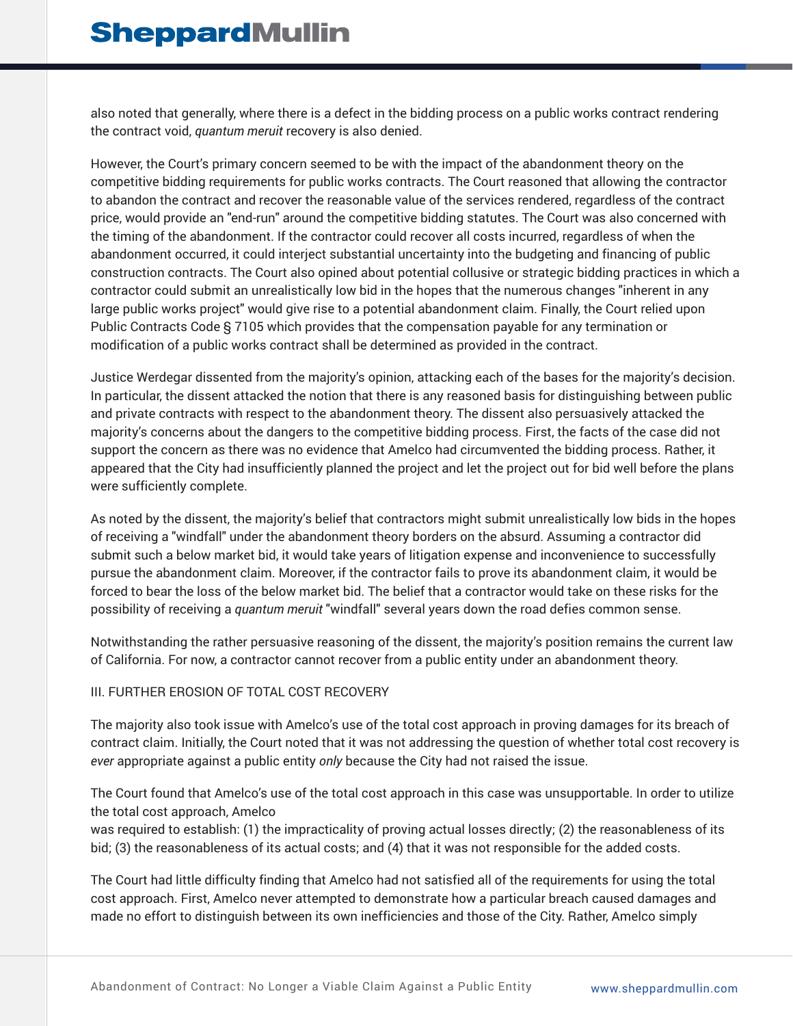also noted that generally, where there is a defect in the bidding process on a public works contract rendering the contract void, *quantum meruit* recovery is also denied.

However, the Court's primary concern seemed to be with the impact of the abandonment theory on the competitive bidding requirements for public works contracts. The Court reasoned that allowing the contractor to abandon the contract and recover the reasonable value of the services rendered, regardless of the contract price, would provide an "end-run" around the competitive bidding statutes. The Court was also concerned with the timing of the abandonment. If the contractor could recover all costs incurred, regardless of when the abandonment occurred, it could interject substantial uncertainty into the budgeting and financing of public construction contracts. The Court also opined about potential collusive or strategic bidding practices in which a contractor could submit an unrealistically low bid in the hopes that the numerous changes "inherent in any large public works project" would give rise to a potential abandonment claim. Finally, the Court relied upon Public Contracts Code § 7105 which provides that the compensation payable for any termination or modification of a public works contract shall be determined as provided in the contract.

Justice Werdegar dissented from the majority's opinion, attacking each of the bases for the majority's decision. In particular, the dissent attacked the notion that there is any reasoned basis for distinguishing between public and private contracts with respect to the abandonment theory. The dissent also persuasively attacked the majority's concerns about the dangers to the competitive bidding process. First, the facts of the case did not support the concern as there was no evidence that Amelco had circumvented the bidding process. Rather, it appeared that the City had insufficiently planned the project and let the project out for bid well before the plans were sufficiently complete.

As noted by the dissent, the majority's belief that contractors might submit unrealistically low bids in the hopes of receiving a "windfall" under the abandonment theory borders on the absurd. Assuming a contractor did submit such a below market bid, it would take years of litigation expense and inconvenience to successfully pursue the abandonment claim. Moreover, if the contractor fails to prove its abandonment claim, it would be forced to bear the loss of the below market bid. The belief that a contractor would take on these risks for the possibility of receiving a *quantum meruit* "windfall" several years down the road defies common sense.

Notwithstanding the rather persuasive reasoning of the dissent, the majority's position remains the current law of California. For now, a contractor cannot recover from a public entity under an abandonment theory.

#### III. FURTHER EROSION OF TOTAL COST RECOVERY

The majority also took issue with Amelco's use of the total cost approach in proving damages for its breach of contract claim. Initially, the Court noted that it was not addressing the question of whether total cost recovery is *ever* appropriate against a public entity *only* because the City had not raised the issue.

The Court found that Amelco's use of the total cost approach in this case was unsupportable. In order to utilize the total cost approach, Amelco

was required to establish: (1) the impracticality of proving actual losses directly; (2) the reasonableness of its bid; (3) the reasonableness of its actual costs; and (4) that it was not responsible for the added costs.

The Court had little difficulty finding that Amelco had not satisfied all of the requirements for using the total cost approach. First, Amelco never attempted to demonstrate how a particular breach caused damages and made no effort to distinguish between its own inefficiencies and those of the City. Rather, Amelco simply